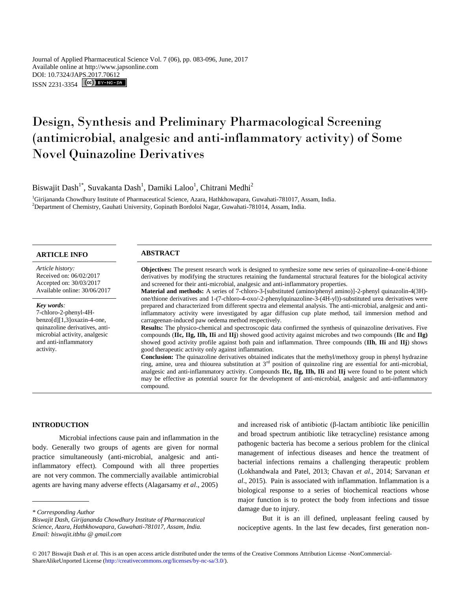Journal of Applied Pharmaceutical Science Vol. 7 (06), pp. 083-096, June, 2017 Available online at http://www.japsonline.com DOI: 10.7324/JAPS.2017.70612  $ISSN 2231-3354$   $\left[\text{ (cc)}\right]$  BY-NG-SA

# Design, Synthesis and Preliminary Pharmacological Screening (antimicrobial, analgesic and anti-inflammatory activity) of Some Novel Quinazoline Derivatives

Biswajit Dash<sup>1\*</sup>, Suvakanta Dash<sup>1</sup>, Damiki Laloo<sup>1</sup>, Chitrani Medhi<sup>2</sup>

<sup>1</sup>Girijananda Chowdhury Institute of Pharmaceutical Science, Azara, Hathkhowapara, Guwahati-781017, Assam, India. <sup>2</sup>Department of Chemistry, Gauhati University, Gopinath Bordoloi Nagar, Guwahati-781014, Assam, India.

# **ARTICLE INFO ABSTRACT**

*Article history:* Received on: 06/02/2017 Accepted on: 30/03/2017 Available online: 30/06/2017

#### *Key words:*

7-chloro-2-phenyl-4Hbenzo[d][1,3]oxazin-4-one, quinazoline derivatives, antimicrobial activity, analgesic and anti-inflammatory activity.

**Objectives:** The present research work is designed to synthesize some new series of quinazoline-4-one/4-thione derivatives by modifying the structures retaining the fundamental structural features for the biological activity and screened for their anti-microbial, analgesic and anti-inflammatory properties.

**Material and methods:** A series of 7-chloro-3-[substituted (amino/phenyl amino)]-2-phenyl quinazolin-4(3H) one/thione derivatives and 1-(7-chloro-4-oxo/-2-phenylquinazoline-3-(4H-yl))-substituted urea derivatives were prepared and characterized from different spectra and elemental analysis. The anti-microbial, analgesic and antiinflammatory activity were investigated by agar diffusion cup plate method, tail immersion method and carrageenan-induced paw oedema method respectively.

**Results:** The physico-chemical and spectroscopic data confirmed the synthesis of quinazoline derivatives. Five compounds (**IIc, IIg, IIh, IIi** and **IIj**) showed good activity against microbes and two compounds (**IIc** and **IIg)** showed good activity profile against both pain and inflammation. Three compounds (**IIh**, **IIi** and **IIj**) shows good therapeutic activity only against inflammation.

**Conclusion:** The quinazoline derivatives obtained indicates that the methyl/methoxy group in phenyl hydrazine ring, amine, urea and thiourea substitution at  $3<sup>rd</sup>$  position of quinzoline ring are essential for anti-microbial, analgesic and anti-inflammatory activity. Compounds **IIc, IIg, IIh, IIi** and **IIj** were found to be potent which may be effective as potential source for the development of anti-microbial, analgesic and anti-inflammatory compound.

#### **INTRODUCTION**

Microbial infections cause pain and inflammation in the body. Generally two groups of agents are given for normal practice simultaneously (anti-microbial, analgesic and antiinflammatory effect). Compound with all three properties are not very common. The commercially available antimicrobial agents are having many adverse effects (Alagarsamy *et al*., 2005)

and increased risk of antibiotic (β-lactam antibiotic like penicillin and broad spectrum antibiotic like tetracycline) resistance among pathogenic bacteria has become a serious problem for the clinical management of infectious diseases and hence the treatment of bacterial infections remains a challenging therapeutic problem (Lokhandwala and Patel, 2013; Chavan *et al*., 2014; Sarvanan *et al*., 2015). Pain is associated with inflammation. Inflammation is a biological response to a series of biochemical reactions whose major function is to protect the body from infections and tissue damage due to injury.

But it is an ill defined, unpleasant feeling caused by nociceptive agents. In the last few decades, first generation non-

*<sup>\*</sup> Corresponding Author*

*Biswajit Dash, Girijananda Chowdhury Institute of Pharmaceutical Science, Azara, Hathkhowapara, Guwahati-781017, Assam, India. Email: biswajit.itbhu @ gmail.com*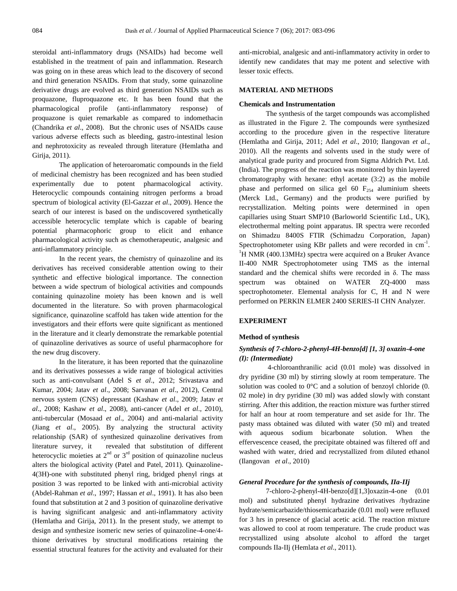steroidal anti-inflammatory drugs (NSAIDs) had become well established in the treatment of pain and inflammation. Research was going on in these areas which lead to the discovery of second and third generation NSAIDs. From that study, some quinazoline derivative drugs are evolved as third generation NSAIDs such as proquazone, fluproquazone etc. It has been found that the pharmacological profile (anti-inflammatory response) of proquazone is quiet remarkable as compared to indomethacin (Chandrika *et al*., 2008). But the chronic uses of NSAIDs cause various adverse effects such as bleeding, gastro-intestinal lesion and nephrotoxicity as revealed through literature (Hemlatha and Girija, 2011).

The application of heteroaromatic compounds in the field of medicinal chemistry has been recognized and has been studied experimentally due to potent pharmacological activity. Heterocyclic compounds containing nitrogen performs a broad spectrum of biological activity (El-Gazzar *et al*., 2009). Hence the search of our interest is based on the undiscovered synthetically accessible heterocyclic template which is capable of bearing potential pharmacophoric group to elicit and enhance pharmacological activity such as chemotherapeutic, analgesic and anti-inflammatory principle.

In the recent years, the chemistry of quinazoline and its derivatives has received considerable attention owing to their synthetic and effective biological importance. The connection between a wide spectrum of biological activities and compounds containing quinazoline moiety has been known and is well documented in the literature. So with proven pharmacological significance, quinazoline scaffold has taken wide attention for the investigators and their efforts were quite significant as mentioned in the literature and it clearly demonstrate the remarkable potential of quinazoline derivatives as source of useful pharmacophore for the new drug discovery.

In the literature, it has been reported that the quinazoline and its derivatives possesses a wide range of biological activities such as anti-convulsant (Adel S *et al*., 2012; Srivastava and Kumar, 2004; Jatav *et al*., 2008; Sarvanan *et al*., 2012), Central nervous system (CNS) depressant (Kashaw *et al*., 2009; Jatav *et al*., 2008; Kashaw *et al*., 2008), anti-cancer (Adel *et al*., 2010), anti-tubercular (Mosaad *et al*., 2004) and anti-malarial activity (Jiang *et al*., 2005). By analyzing the structural activity relationship (SAR) of synthesized quinazoline derivatives from literature survey, it revealed that substitution of different heterocyclic moieties at  $2<sup>nd</sup>$  or  $3<sup>rd</sup>$  position of quinazoline nucleus alters the biological activity (Patel and Patel, 2011). Quinazoline-4(3H)-one with substituted phenyl ring, bridged phenyl rings at position 3 was reported to be linked with anti-microbial activity (Abdel-Rahman *et al*., 1997; Hassan *et al*., 1991). It has also been found that substitution at 2 and 3 position of quinazoline derivative is having significant analgesic and anti-inflammatory activity (Hemlatha and Girija, 2011). In the present study, we attempt to design and synthesize isomeric new series of quinazoline-4-one/4 thione derivatives by structural modifications retaining the essential structural features for the activity and evaluated for their anti-microbial, analgesic and anti-inflammatory activity in order to identify new candidates that may me potent and selective with lesser toxic effects.

# **MATERIAL AND METHODS**

#### **Chemicals and Instrumentation**

The synthesis of the target compounds was accomplished as illustrated in the Figure 2. The compounds were synthesized according to the procedure given in the respective literature (Hemlatha and Girija, 2011; Adel *et al*., 2010; Ilangovan *et al*., 2010). All the reagents and solvents used in the study were of analytical grade purity and procured from Sigma Aldrich Pvt. Ltd. (India). The progress of the reaction was monitored by thin layered chromatography with hexane: ethyl acetate (3:2) as the mobile phase and performed on silica gel 60  $F_{254}$  aluminium sheets (Merck Ltd., Germany) and the products were purified by recrystallization. Melting points were determined in open capillaries using Stuart SMP10 (Barloworld Scientific Ltd., UK), electrothermal melting point apparatus. IR spectra were recorded on Shimadzu 8400S FTIR (Schimadzu Corporation, Japan) Spectrophotometer using KBr pallets and were recorded in  $cm<sup>-1</sup>$ .  ${}^{1}$ H NMR (400.13MHz) spectra were acquired on a Bruker Avance II-400 NMR Spectrophotometer using TMS as the internal standard and the chemical shifts were recorded in δ. The mass spectrum was obtained on WATER ZQ-4000 mass spectrophotometer. Elemental analysis for C, H and N were performed on PERKIN ELMER 2400 SERIES-II CHN Analyzer.

# **EXPERIMENT**

#### **Method of synthesis**

# *Synthesis of 7-chloro-2-phenyl-4H-benzo[d] [1, 3] oxazin-4-one (I): (Intermediate)*

4-chloroanthranilic acid (0.01 mole) was dissolved in dry pyridine (30 ml) by stirring slowly at room temperature. The solution was cooled to 0°C and a solution of benzoyl chloride (0. 02 mole) in dry pyridine (30 ml) was added slowly with constant stirring. After this addition, the reaction mixture was further stirred for half an hour at room temperature and set aside for 1hr. The pasty mass obtained was diluted with water (50 ml) and treated with aqueous sodium bicarbonate solution. When the effervescence ceased, the precipitate obtained was filtered off and washed with water, dried and recrystallized from diluted ethanol (Ilangovan *et al*., 2010)

#### *General Procedure for the synthesis of compounds, IIa-IIj*

7-chloro-2-phenyl-4H-benzo[d][1,3]oxazin-4-one (0.01 mol) and substituted phenyl hydrazine derivatives /hydrazine hydrate/semicarbazide/thiosemicarbazide (0.01 mol) were refluxed for 3 hrs in presence of glacial acetic acid. The reaction mixture was allowed to cool at room temperature. The crude product was recrystallized using absolute alcohol to afford the target compounds IIa-IIj (Hemlata *et al*., 2011).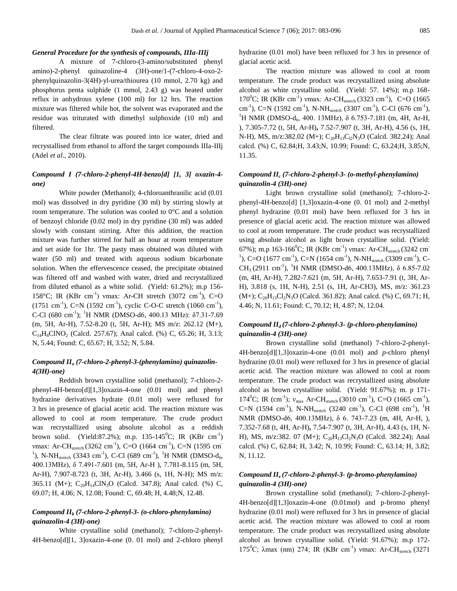#### *General Procedure for the synthesis of compounds, IIIa-IIIj*

A mixture of 7-chloro-(3-amino/substituted phenyl amino)-2-phenyl quinazoline-4 (3H)-one/1-(7-chloro-4-oxo-2 phenylquinazolin-3(4H)-yl-urea/thiourea (10 mmol, 2.70 kg) and phosphorus penta sulphide (1 mmol, 2.43 g) was heated under reflux in anhydrous xylene (100 ml) for 12 hrs. The reaction mixture was filtered while hot, the solvent was evaporated and the residue was triturated with dimethyl sulphoxide (10 ml) and filtered.

The clear filtrate was poured into ice water, dried and recrystallised from ethanol to afford the target compounds IIIa-IIIj (Adel *et al*., 2010).

#### *Compound I (7-chloro-2-phenyl-4H-benzo[d] [1, 3] oxazin-4 one)*

White powder (Methanol); 4-chloroanthranilic acid (0.01 mol) was dissolved in dry pyridine (30 ml) by stirring slowly at room temperature. The solution was cooled to 0°C and a solution of benzoyl chloride (0.02 mol) in dry pyridine (30 ml) was added slowly with constant stirring. After this addition, the reaction mixture was further stirred for half an hour at room temperature and set aside for 1hr. The pasty mass obtained was diluted with water (50 ml) and treated with aqueous sodium bicarbonate solution. When the effervescence ceased, the precipitate obtained was filtered off and washed with water, dried and recrystallized from diluted ethanol as a white solid. (Yield: 61.2%); m.p 156- 158°C; IR (KBr cm<sup>-1</sup>) vmax: Ar-CH stretch (3072 cm<sup>-1</sup>), C=O  $(1751 \text{ cm}^{-1})$ , C=N  $(1592 \text{ cm}^{-1})$ , cyclic C-O-C stretch  $(1060 \text{ cm}^{-1})$ , C-Cl (680 cm<sup>-1</sup>); <sup>1</sup>H NMR (DMSO-d6, 400.13 MHz):  $\delta$ 7.31-7.69 (m, 5H, Ar-H), 7.52-8.20 (t, 5H, Ar-H); MS m/z: 262.12 (M+),  $C_{14}H_8CINO_2$  (Calcd. 257.67); Anal calcd. (%) C, 65.26; H, 3.13; N, 5.44; Found: C, 65.67; H, 3.52; N, 5.84.

# *Compound II<sup>a</sup> (7-chloro-2-phenyl-3-(phenylamino) quinazolin-4(3H)-one)*

Reddish brown crystalline solid (methanol); 7-chloro-2 phenyl-4H-benzo[d][1,3]oxazin-4-one (0.01 mol) and phenyl hydrazine derivatives hydrate (0.01 mol) were refluxed for 3 hrs in presence of glacial acetic acid. The reaction mixture was allowed to cool at room temperature. The crude product was recrystallized using absolute alcohol as a reddish brown solid. (Yield:87.2%); m.p. 135-145<sup>0</sup>C; IR (KBr cm<sup>-1</sup>) vmax: Ar-CH<sub>stretch</sub> (3262 cm<sup>-1</sup>), C=O (1664 cm<sup>-1</sup>), C=N (1595 cm<sup>-</sup> <sup>1</sup>), N-NH<sub>stretch</sub> (3343 cm<sup>-1</sup>), C-Cl (689 cm<sup>-1</sup>), <sup>1</sup>H NMR (DMSO-d<sub>6</sub>, 400.13MHz), δ 7.491-7.601 (m, 5H, Ar-H ), 7.781-8.115 (m, 5H, Ar-H), 7.907-8.723 (t, 3H, Ar-H), 3.466 (s, 1H, N-H); MS m/z: 365.11 (M+);  $C_{20}H_{14}CIN_3O$  (Calcd. 347.8); Anal calcd. (%) C, 69.07; H, 4.06; N, 12.08; Found: C, 69.48; H, 4.48;N, 12.48.

# *Compound II<sup>b</sup> (7-chloro-2-phenyl-3- (o-chloro-phenylamino) quinazolin-4 (3H)-one)*

White crystalline solid (methanol); 7-chloro-2-phenyl-4H-benzo[d][1, 3]oxazin-4-one (0. 01 mol) and 2-chloro phenyl hydrazine (0.01 mol) have been refluxed for 3 hrs in presence of glacial acetic acid.

The reaction mixture was allowed to cool at room temperature. The crude product was recrystallized using absolute alcohol as white crystalline solid. (Yield: 57. 14%); m.p 168- 170<sup>0</sup>C; IR (KBr cm<sup>-1</sup>) vmax: Ar-CH<sub>stretch</sub> (3323 cm<sup>-1</sup>), C=O (1665 cm<sup>-1</sup>), C=N (1592 cm<sup>-1</sup>), N-NH<sub>stretch</sub> (3307 cm<sup>-1</sup>), C-Cl (676 cm<sup>-1</sup>), <sup>1</sup>H NMR (DMSO-d<sub>6</sub>, 400. 13MHz), δ 6.753-7.181 (m, 4H, Ar-H, ), 7.305-7.72 (t, 5H, Ar-H)**,** 7.52-7.907 (t, 3H, Ar-H), 4.56 (s, 1H, N-H), MS, m/z:382.02 (M+);  $C_{20}H_{13}C_{12}N_3O$  (Calcd. 382.24); Anal calcd. (%) C, 62.84;H, 3.43;N, 10.99; Found: C, 63.24;H, 3.85;N, 11.35.

# *Compound II<sup>c</sup> (7-chloro-2-phenyl-3- (o-methyl-phenylamino) quinazolin-4 (3H)-one)*

Light brown crystalline solid (methanol); 7-chloro-2 phenyl-4H-benzo[d] [1,3]oxazin-4-one (0. 01 mol) and 2-methyl phenyl hydrazine (0.01 mol) have been refluxed for 3 hrs in presence of glacial acetic acid. The reaction mixture was allowed to cool at room temperature. The crude product was recrystallized using absolute alcohol as light brown crystalline solid. (Yield: 67%); m.p 163-166<sup>0</sup>C; IR (KBr cm<sup>-1</sup>) vmax: Ar-CH<sub>stretch</sub> (3242 cm<sup>-</sup> <sup>1</sup>), C=O (1677 cm<sup>-1</sup>), C=N (1654 cm<sup>-1</sup>), N-NH<sub>stretch</sub> (3309 cm<sup>-1</sup>), C-CH<sub>3</sub> (2911 cm<sup>-1</sup>), <sup>1</sup>H NMR (DMSO-d6, 400.13MHz),  $\delta$  6.85-7.02 (m, 4H, Ar-H), 7.282-7.621 (m, 5H, Ar-H), 7.653-7.91 (t, 3H, Ar-H), 3.818 (s, 1H, N-H), 2.51 (s, 1H, Ar-CH3), MS, m/z: 361.23  $(M+)$ ; C<sub>20</sub>H<sub>13</sub>Cl<sub>2</sub>N<sub>3</sub>O (Calcd. 361.82); Anal calcd. (%) C, 69.71; H, 4.46; N, 11.61; Found: C, 70.12; H, 4.87; N, 12.04.

# *Compound IId (7-chloro-2-phenyl-3- (p-chloro-phenylamino) quinazolin-4 (3H)-one)*

Brown crystalline solid (methanol) 7-chloro-2-phenyl-4H-benzo[d][1,3]oxazin-4-one (0.01 mol) and *p*-chloro phenyl hydrazine (0.01 mol) were refluxed for 3 hrs in presence of glacial acetic acid. The reaction mixture was allowed to cool at room temperature. The crude product was recrystallized using absolute alcohol as brown crystalline solid. (Yield: 91.67%); m. p 171- 174<sup>0</sup>C; IR (cm<sup>-1</sup>);  $v_{\text{max}}$  Ar-CH<sub>stretch</sub> (3010 cm<sup>-1</sup>), C=O (1665 cm<sup>-1</sup>), C=N (1594 cm<sup>-1</sup>), N-NH<sub>stretch</sub> (3240 cm<sup>-1</sup>), C-Cl (698 cm<sup>-1</sup>), <sup>1</sup>H NMR (DMSO-d6, 400.13MHz), δ 6. 743-7.23 (m, 4H, Ar-H, ), 7.352-7.68 (t, 4H, Ar-H)**,** 7.54-7.907 (t, 3H, Ar-H), 4.43 (s, 1H, N-H), MS, m/z:382. 07 (M+);  $C_{20}H_{13}Cl_2N_3O$  (Calcd. 382.24); Anal calcd. (%) C, 62.84; H, 3.42; N, 10.99; Found: C, 63.14; H, 3.82; N, 11.12.

# *Compound IIe (7-chloro-2-phenyl-3- (p-bromo-phenylamino) quinazolin-4 (3H)-one)*

Brown crystalline solid (methanol); 7-chloro-2-phenyl-4H-benzo[d][1,3]oxazin-4-one (0.01mol) and p-bromo phenyl hydrazine (0.01 mol) were refluxed for 3 hrs in presence of glacial acetic acid. The reaction mixture was allowed to cool at room temperature. The crude product was recrystallized using absolute alcohol as brown crystalline solid. (Yield: 91.67%); m.p 172- 175<sup>°</sup>C;  $\lambda$ max (nm) 274; IR (KBr cm<sup>-1</sup>) vmax: Ar-CH<sub>stretch</sub> (3271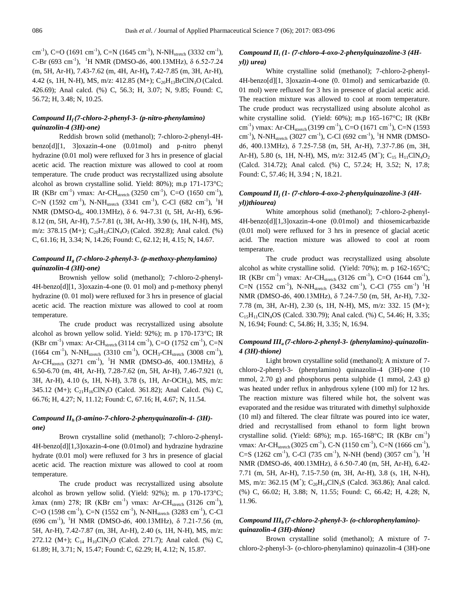cm<sup>-1</sup>), C=O (1691 cm<sup>-1</sup>), C=N (1645 cm<sup>-1</sup>), N-NH<sub>stretch</sub> (3332 cm<sup>-1</sup>), C-Br (693 cm<sup>-1</sup>), <sup>1</sup>H NMR (DMSO-d6, 400.13MHz),  $\delta$  6.52-7.24 (m, 5H, Ar-H), 7.43-7.62 (m, 4H, Ar-H)**,** 7.42-7.85 (m, 3H, Ar-H), 4.42 (s, 1H, N-H), MS, m/z: 412.85 (M+);  $C_{20}H_{13}BrClN_3O$  (Calcd. 426.69); Anal calcd. (%) C, 56.3; H, 3.07; N, 9.85; Found: C, 56.72; H, 3.48; N, 10.25.

# *Compound IIf (7-chloro-2-phenyl-3- (p-nitro-phenylamino) quinazolin-4 (3H)-one)*

Reddish brown solid (methanol); 7-chloro-2-phenyl-4Hbenzo[d][1, 3]oxazin-4-one (0.01mol) and p-nitro phenyl hydrazine (0.01 mol) were refluxed for 3 hrs in presence of glacial acetic acid. The reaction mixture was allowed to cool at room temperature. The crude product was recrystallized using absolute alcohol as brown crystalline solid. Yield: 80%); m.p 171-173°C; IR (KBr cm<sup>-1</sup>) vmax: Ar-CH<sub>stretch</sub> (3250 cm<sup>-1</sup>), C=O (1650 cm<sup>-1</sup>), C=N (1592 cm<sup>-1</sup>), N-NH<sub>stretch</sub> (3341 cm<sup>-1</sup>), C-Cl (682 cm<sup>-1</sup>), <sup>1</sup>H NMR (DMSO-d<sub>6</sub>, 400.13MHz), δ 6. 94-7.31 (t, 5H, Ar-H), 6.96-8.12 (m, 5H, Ar-H), 7.5-7.81 (t, 3H, Ar-H), 3.90 (s, 1H, N-H), MS, m/z: 378.15 (M+);  $C_{20}H_{13}CIN_4O_3$  (Calcd. 392.8); Anal calcd. (%) C, 61.16; H, 3.34; N, 14.26; Found: C, 62.12; H, 4.15; N, 14.67.

# *Compound II<sup>g</sup> (7-chloro-2-phenyl-3- (p-methoxy-phenylamino) quinazolin-4 (3H)-one)*

Brownish yellow solid (methanol); 7-chloro-2-phenyl-4H-benzo[d][1, 3]oxazin-4-one (0. 01 mol) and p-methoxy phenyl hydrazine (0. 01 mol) were refluxed for 3 hrs in presence of glacial acetic acid. The reaction mixture was allowed to cool at room temperature.

The crude product was recrystallized using absolute alcohol as brown yellow solid. Yield: 92%); m. p 170-173°C; IR (KBr cm<sup>-1</sup>) vmax: Ar-CH<sub>stretch</sub> (3114 cm<sup>-1</sup>), C=O (1752 cm<sup>-1</sup>), C=N  $(1664 \text{ cm}^{-1})$ , N-NH<sub>stretch</sub>  $(3310 \text{ cm}^{-1})$ , OCH<sub>3</sub>-CH<sub>stretch</sub>  $(3008 \text{ cm}^{-1})$ , Ar-CH<sub>stretch</sub> (3271 cm<sup>-1</sup>), <sup>1</sup>H NMR (DMSO-d6, 400.13MHz),  $\delta$ 6.50-6.70 (m, 4H, Ar-H), 7.28-7.62 (m, 5H, Ar-H), 7.46-7.921 (t, 3H, Ar-H), 4.10 (s, 1H, N-H), 3.78 (s, 1H, Ar-OCH3), MS, m/z: 345.12 (M+);  $C_{21}H_{16}CIN_3O$  (Calcd. 361.82); Anal Calcd. (%) C, 66.76; H, 4.27; N, 11.12; Found: C, 67.16; H, 4.67; N, 11.54.

# *Compound IIh (3-amino-7-chloro-2-phenyquinazolin-4- (3H) one)*

Brown crystalline solid (methanol); 7-chloro-2-phenyl-4H-benzo[d][1,3]oxazin-4-one (0.01mol) and hydrazine hydrazine hydrate (0.01 mol) were refluxed for 3 hrs in presence of glacial acetic acid. The reaction mixture was allowed to cool at room temperature.

The crude product was recrystallized using absolute alcohol as brown yellow solid. (Yield: 92%); m. p 170-173°C; λmax (nm) 278; IR (KBr cm<sup>-1</sup>) vmax: Ar-CH<sub>stretch</sub> (3126 cm<sup>-1</sup>), C=O (1598 cm<sup>-1</sup>), C=N (1552 cm<sup>-1</sup>), N-NH<sub>stretch</sub> (3283 cm<sup>-1</sup>), C-Cl  $(696 \text{ cm}^{-1})$ , <sup>1</sup>H NMR (DMSO-d6, 400.13MHz),  $\delta$  7.21-7.56 (m, 5H, Ar-H), 7.42-7.87 (m, 3H, Ar-H), 2.40 (s, 1H, N-H), MS, m/z: 272.12 (M+);  $C_{14}$  H<sub>10</sub>ClN<sub>3</sub>O (Calcd. 271.7); Anal calcd. (%) C, 61.89; H, 3.71; N, 15.47; Found: C, 62.29; H, 4.12; N, 15.87.

# *Compound II<sup>i</sup> (1- (7-chloro-4-oxo-2-phenylquinazoline-3 (4Hyl)) urea)*

White crystalline solid (methanol); 7-chloro-2-phenyl-4H-benzo[d][1, 3]oxazin-4-one (0. 01mol) and semicarbazide (0. 01 mol) were refluxed for 3 hrs in presence of glacial acetic acid. The reaction mixture was allowed to cool at room temperature. The crude product was recrystallized using absolute alcohol as white crystalline solid. (Yield: 60%); m.p 165-167°C; IR (KBr cm<sup>-1</sup>) vmax: Ar-CH<sub>stretch</sub> (3199 cm<sup>-1</sup>), C=O (1671 cm<sup>-1</sup>), C=N (1593 cm<sup>-1</sup>), N-NH<sub>stretch</sub> (3027 cm<sup>-1</sup>), C-Cl (692 cm<sup>-1</sup>), <sup>1</sup>H NMR (DMSOd6, 400.13MHz), δ 7.25-7.58 (m, 5H, Ar-H), 7.37-7.86 (m, 3H, Ar-H), 5.80 (s, 1H, N-H), MS, m/z: 312.45 (M<sup>+</sup>); C<sub>15</sub> H<sub>11</sub>ClN<sub>4</sub>O<sub>2</sub> (Calcd. 314.72); Anal calcd. (%) C, 57.24; H, 3.52; N, 17.8; Found: C, 57.46; H, 3.94 ; N, 18.21.

# *Compound II<sup>j</sup> (1- (7-chloro-4-oxo-2-phenylquinazoline-3 (4Hyl))thiourea)*

White amorphous solid (methanol); 7-chloro-2-phenyl-4H-benzo[d][1,3]oxazin-4-one (0.01mol) and thiosemicarbazide (0.01 mol) were refluxed for 3 hrs in presence of glacial acetic acid. The reaction mixture was allowed to cool at room temperature.

The crude product was recrystallized using absolute alcohol as white crystalline solid. (Yield: 70%); m. p 162-165°C; IR (KBr cm<sup>-1</sup>) vmax: Ar-CH<sub>stretch</sub> (3126 cm<sup>-1</sup>), C=O (1644 cm<sup>-1</sup>), C=N (1552 cm<sup>-1</sup>), N-NH<sub>stretch</sub> (3432 cm<sup>-1</sup>), C-Cl (755 cm<sup>-1</sup>) <sup>1</sup>H NMR (DMSO-d6, 400.13MHz), δ 7.24-7.50 (m, 5H, Ar-H), 7.32- 7.78 (m, 3H, Ar-H), 2.30 (s, 1H, N-H), MS, m/z: 332. 15 (M+);  $C_{15}H_{11}CIN_4OS$  (Calcd. 330.79); Anal calcd. (%) C, 54.46; H, 3.35; N, 16.94; Found: C, 54.86; H, 3.35; N, 16.94.

# *Compound IIIa (7-chloro-2-phenyl-3- (phenylamino)-quinazolin-4 (3H)-thione)*

Light brown crystalline solid (methanol); A mixture of 7 chloro-2-phenyl-3- (phenylamino) quinazolin-4 (3H)-one (10 mmol,  $2.70 \text{ g}$ ) and phosphorus penta sulphide  $(1 \text{ mmol}, 2.43 \text{ g})$ was heated under reflux in anhydrous xylene (100 ml) for 12 hrs. The reaction mixture was filtered while hot, the solvent was evaporated and the residue was triturated with dimethyl sulphoxide (10 ml) and filtered. The clear filtrate was poured into ice water, dried and recrystallised from ethanol to form light brown crystalline solid. (Yield: 68%); m.p. 165-168°C; IR (KBr cm<sup>-1</sup>) vmax: Ar-CH<sub>stretch</sub> (3025 cm<sup>-1</sup>), C-N (1150 cm<sup>-1</sup>), C=N (1666 cm<sup>-1</sup>), C=S (1262 cm<sup>-1</sup>), C-Cl (735 cm<sup>-1</sup>), N-NH (bend) (3057 cm<sup>-1</sup>), <sup>1</sup>H NMR (DMSO-d6, 400.13MHz), δ 6.50-7.40 (m, 5H, Ar-H), 6.42- 7.71 (m, 5H, Ar-H), 7.15-7.50 (m, 3H, Ar-H), 3.8 (s, 1H, N-H), MS, m/z: 362.15 (M<sup>+</sup>); C<sub>20</sub>H<sub>14</sub>ClN<sub>3</sub>S (Calcd. 363.86); Anal calcd. (%) C, 66.02; H, 3.88; N, 11.55; Found: C, 66.42; H, 4.28; N, 11.96.

# *Compound IIIb (7-chloro-2-phenyl-3- (o-chlorophenylamino) quinazolin-4 (3H)-thione)*

Brown crystalline solid (methanol); A mixture of 7 chloro-2-phenyl-3- (o-chloro-phenylamino) quinazolin-4 (3H)-one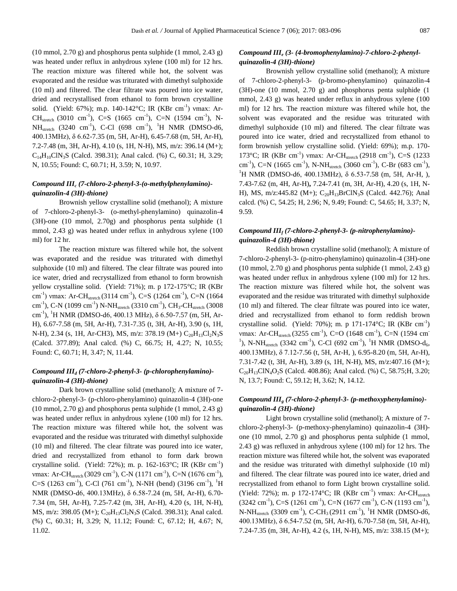(10 mmol, 2.70 g) and phosphorus penta sulphide (1 mmol, 2.43 g) was heated under reflux in anhydrous xylene (100 ml) for 12 hrs. The reaction mixture was filtered while hot, the solvent was evaporated and the residue was triturated with dimethyl sulphoxide (10 ml) and filtered. The clear filtrate was poured into ice water, dried and recrystallised from ethanol to form brown crystalline solid. (Yield: 67%); m.p. 140-142°C; IR (KBr cm<sup>-1</sup>) vmax: Ar-CH<sub>stretch</sub> (3010 cm<sup>-1</sup>), C=S (1665 cm<sup>-1</sup>), C=N (1594 cm<sup>-1</sup>), N- $NH_{stretch}$  (3240 cm<sup>-1</sup>), C-Cl (698 cm<sup>-1</sup>), <sup>1</sup>H NMR (DMSO-d6, 400.13MHz), δ 6.62-7.35 (m, 5H, Ar-H), 6.45-7.68 (m, 5H, Ar-H), 7.2-7.48 (m, 3H, Ar-H), 4.10 (s, 1H, N-H), MS, m/z: 396.14 (M+);  $C_{14}H_{10}CN_3S$  (Calcd. 398.31); Anal calcd. (%) C, 60.31; H, 3.29; N, 10.55; Found: C, 60.71; H, 3.59; N, 10.97.

# *Compound III<sup>c</sup> (7-chloro-2-phenyl-3-(o-methylphenylamino) quinazolin-4 (3H)-thione)*

Brownish yellow crystalline solid (methanol); A mixture of 7-chloro-2-phenyl-3- (o-methyl-phenylamino) quinazolin-4 (3H)-one (10 mmol, 2.70g) and phosphorus penta sulphide (1 mmol, 2.43 g) was heated under reflux in anhydrous xylene (100 ml) for 12 hr.

The reaction mixture was filtered while hot, the solvent was evaporated and the residue was triturated with dimethyl sulphoxide (10 ml) and filtered. The clear filtrate was poured into ice water, dried and recrystallized from ethanol to form brownish yellow crystalline solid. (Yield: 71%); m. p 172-175°C; IR (KBr cm<sup>-1</sup>) vmax: Ar-CH<sub>stretch</sub> (3114 cm<sup>-1</sup>), C=S (1264 cm<sup>-1</sup>), C=N (1664 cm<sup>-1</sup>), C-N (1099 cm<sup>-1</sup>) N-NH<sub>stretch</sub> (3310 cm<sup>-1</sup>), CH<sub>3</sub>-CH<sub>stretch</sub> (3008 cm<sup>-1</sup>), <sup>1</sup>H NMR (DMSO-d6, 400.13 MHz), δ 6.50-7.57 (m, 5H, Ar-H), 6.67-7.58 (m, 5H, Ar-H), 7.31-7.35 (t, 3H, Ar-H), 3.90 (s, 1H, N-H), 2.34 (s, 1H, Ar-CH3), MS, m/z: 378.19 (M+)  $C_{20}H_{13}Cl_2N_3S$ (Calcd. 377.89); Anal calcd. (%) C, 66.75; H, 4.27; N, 10.55; Found: C, 60.71; H, 3.47; N, 11.44.

#### *Compound III<sup>d</sup> (7-chloro-2-phenyl-3- (p-chlorophenylamino) quinazolin-4 (3H)-thione)*

Dark brown crystalline solid (methanol); A mixture of 7 chloro-2-phenyl-3- (p-chloro-phenylamino) quinazolin-4 (3H)-one (10 mmol, 2.70 g) and phosphorus penta sulphide (1 mmol, 2.43 g) was heated under reflux in anhydrous xylene (100 ml) for 12 hrs. The reaction mixture was filtered while hot, the solvent was evaporated and the residue was triturated with dimethyl sulphoxide (10 ml) and filtered. The clear filtrate was poured into ice water, dried and recrystallized from ethanol to form dark brown crystalline solid. (Yield: 72%); m. p. 162-163°C; IR (KBr cm<sup>-1</sup>) vmax: Ar-CH<sub>stretch</sub> (3029 cm<sup>-1</sup>), C-N (1171 cm<sup>-1</sup>), C=N (1676 cm<sup>-1</sup>), C=S (1263 cm<sup>-1</sup>), C-Cl (761 cm<sup>-1</sup>), N-NH (bend) (3196 cm<sup>-1</sup>), <sup>1</sup>H NMR (DMSO-d6, 400.13MHz), δ 6.58-7.24 (m, 5H, Ar-H), 6.70- 7.34 (m, 5H, Ar-H), 7.25-7.42 (m, 3H, Ar-H), 4.20 (s, 1H, N-H), MS, m/z: 398.05 (M+);  $C_{20}H_{13}Cl_2N_3S$  (Calcd. 398.31); Anal calcd. (%) C, 60.31; H, 3.29; N, 11.12; Found: C, 67.12; H, 4.67; N, 11.02.

# *Compound III<sup>e</sup> (3- (4-bromophenylamino)-7-chloro-2-phenylquinazolin-4 (3H)-thione)*

Brownish yellow crystalline solid (methanol); A mixture of 7-chloro-2-phenyl-3- (p-bromo-phenylamino) quinazolin-4 (3H)-one (10 mmol, 2.70 g) and phosphorus penta sulphide (1 mmol, 2.43 g) was heated under reflux in anhydrous xylene (100 ml) for 12 hrs. The reaction mixture was filtered while hot, the solvent was evaporated and the residue was triturated with dimethyl sulphoxide (10 ml) and filtered. The clear filtrate was poured into ice water, dried and recrystallized from ethanol to form brownish yellow crystalline solid. (Yield: 69%); m.p. 170- 173°C; IR (KBr cm<sup>-1</sup>) vmax: Ar-CH<sub>stretch</sub> (2918 cm<sup>-1</sup>), C=S (1233 cm<sup>-1</sup>), C=N (1665 cm<sup>-1</sup>), N-NH<sub>stretch</sub> (3060 cm<sup>-1</sup>), C-Br (683 cm<sup>-1</sup>), <sup>1</sup>H NMR (DMSO-d6, 400.13MHz),  $\delta$  6.53-7.58 (m, 5H, Ar-H, ), 7.43-7.62 (m, 4H, Ar-H)**,** 7.24-7.41 (m, 3H, Ar-H), 4.20 (s, 1H, N-H), MS, m/z:445.82 (M+);  $C_{20}H_{13}BrClN_3S$  (Calcd. 442.76); Anal calcd. (%) C, 54.25; H, 2.96; N, 9.49; Found: C, 54.65; H, 3.37; N, 9.59.

# *Compound III<sup>f</sup> (7-chloro-2-phenyl-3- (p-nitrophenylamino) quinazolin-4 (3H)-thione)*

Reddish brown crystalline solid (methanol); A mixture of 7-chloro-2-phenyl-3- (p-nitro-phenylamino) quinazolin-4 (3H)-one  $(10 \text{ mmol}, 2.70 \text{ g})$  and phosphorus penta sulphide  $(1 \text{ mmol}, 2.43 \text{ g})$ was heated under reflux in anhydrous xylene (100 ml) for 12 hrs. The reaction mixture was filtered while hot, the solvent was evaporated and the residue was triturated with dimethyl sulphoxide (10 ml) and filtered. The clear filtrate was poured into ice water, dried and recrystallized from ethanol to form reddish brown crystalline solid. (Yield: 70%); m. p 171-174°C; IR (KBr cm<sup>-1</sup>) vmax: Ar-CH<sub>stretch</sub> (3255 cm<sup>-1</sup>), C=O (1648 cm<sup>-1</sup>), C=N (1594 cm<sup>-</sup> <sup>1</sup>), N-NH<sub>stretch</sub> (3342 cm<sup>-1</sup>), C-Cl (692 cm<sup>-1</sup>), <sup>1</sup>H NMR (DMSO-d<sub>6</sub>, 400.13MHz), δ 7.12-7.56 (t, 5H, Ar-H, ), 6.95-8.20 (m, 5H, Ar-H), 7.31-7.42 (t, 3H, Ar-H), 3.89 (s, 1H, N-H), MS, m/z:407.16 (M+);  $C_{20}H_{13}CIN_4O_2S$  (Calcd. 408.86); Anal calcd. (%) C, 58.75; H, 3.20; N, 13.7; Found: C, 59.12; H, 3.62; N, 14.12.

#### *Compound III<sup>g</sup> (7-chloro-2-phenyl-3- (p-methoxyphenylamino) quinazolin-4 (3H)-thione)*

Light brown crystalline solid (methanol); A mixture of 7 chloro-2-phenyl-3- (p-methoxy-phenylamino) quinazolin-4 (3H) one (10 mmol, 2.70 g) and phosphorus penta sulphide (1 mmol, 2.43 g) was refluxed in anhydrous xylene (100 ml) for 12 hrs. The reaction mixture was filtered while hot, the solvent was evaporated and the residue was triturated with dimethyl sulphoxide (10 ml) and filtered. The clear filtrate was poured into ice water, dried and recrystallized from ethanol to form Light brown crystalline solid. (Yield: 72%); m. p 172-174 °C; IR (KBr cm<sup>-1</sup>) vmax: Ar-CH<sub>stretch</sub>  $(3242 \text{ cm}^{-1})$ , C=S  $(1261 \text{ cm}^{-1})$ , C=N  $(1677 \text{ cm}^{-1})$ , C-N  $(1193 \text{ cm}^{-1})$ , N-NH<sub>stretch</sub> (3309 cm<sup>-1</sup>), C-CH<sub>3</sub> (2911 cm<sup>-1</sup>), <sup>1</sup>H NMR (DMSO-d6, 400.13MHz), δ 6.54-7.52 (m, 5H, Ar-H), 6.70-7.58 (m, 5H, Ar-H), 7.24-7.35 (m, 3H, Ar-H), 4.2 (s, 1H, N-H), MS, m/z: 338.15 (M+);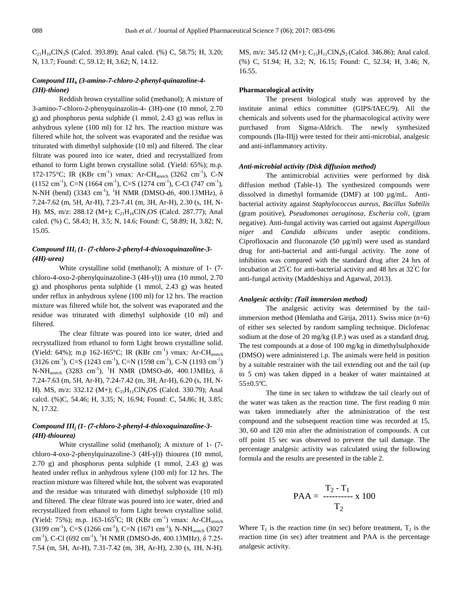$C_{21}H_{16}CIN_3S$  (Calcd. 393.89); Anal calcd. (%) C, 58.75; H, 3.20; N, 13.7; Found: C, 59.12; H, 3.62; N, 14.12.

# *Compound III<sup>h</sup> (3-amino-7-chloro-2-phenyl-quinazoline-4- (3H)-thione)*

Reddish brown crystalline solid (methanol); A mixture of 3-amino-7-chloro-2-phenyquinazolin-4- (3H)-one (10 mmol, 2.70 g) and phosphorus penta sulphide (1 mmol, 2.43 g) was reflux in anhydrous xylene (100 ml) for 12 hrs. The reaction mixture was filtered while hot, the solvent was evaporated and the residue was triturated with dimethyl sulphoxide (10 ml) and filtered. The clear filtrate was poured into ice water, dried and recrystallized from ethanol to form Light brown crystalline solid. (Yield: 65%); m.p. 172-175°C; IR (KBr cm<sup>-1</sup>) vmax: Ar-CH<sub>stretch</sub> (3262 cm<sup>-1</sup>), C-N  $(1152 \text{ cm}^{-1})$ , C=N  $(1664 \text{ cm}^{-1})$ , C=S  $(1274 \text{ cm}^{-1})$ , C-Cl  $(747 \text{ cm}^{-1})$ , N-NH (bend) (3343 cm<sup>-1</sup>), <sup>1</sup>H NMR (DMSO-d6, 400.13MHz),  $\delta$ 7.24-7.62 (m, 5H, Ar-H), 7.23-7.41 (m, 3H, Ar-H), 2.30 (s, 1H, N-H). MS, m/z: 288.12 (M+); C<sub>21</sub>H<sub>16</sub>ClN<sub>3</sub>OS (Calcd. 287.77); Anal calcd. (%) C, 58.43; H, 3.5; N, 14.6; Found: C, 58.89; H, 3.82; N, 15.05.

# *Compound III<sup>i</sup> (1- (7-chloro-2-phenyl-4-thioxoquinazoline-3- (4H)-urea)*

White crystalline solid (methanol); A mixture of 1- (7 chloro-4-oxo-2-phenylquinazoline-3 (4H-yl)) urea (10 mmol, 2.70 g) and phosphorus penta sulphide (1 mmol, 2.43 g) was heated under reflux in anhydrous xylene (100 ml) for 12 hrs. The reaction mixture was filtered while hot, the solvent was evaporated and the residue was triturated with dimethyl sulphoxide (10 ml) and filtered.

The clear filtrate was poured into ice water, dried and recrystallized from ethanol to form Light brown crystalline solid. (Yield: 64%); m.p 162-165°C; IR (KBr cm<sup>-1</sup>) vmax: Ar-CH<sub>stretch</sub>  $(3126 \text{ cm}^{-1})$ , C=S  $(1243 \text{ cm}^{-1})$ , C=N  $(1598 \text{ cm}^{-1})$ , C-N  $(1193 \text{ cm}^{-1})$ N-N $H_{\text{stretch}}$  (3283 cm<sup>-1</sup>), <sup>1</sup>H NMR (DMSO-d6, 400.13MHz),  $\delta$ 7.24-7.63 (m, 5H, Ar-H), 7.24-7.42 (m, 3H, Ar-H), 6.20 (s, 1H, N-H). MS, m/z: 332.12 (M+); C<sub>15</sub>H<sub>11</sub>ClN<sub>4</sub>OS (Calcd. 330.79); Anal calcd. (%)C, 54.46; H, 3.35; N, 16.94; Found: C, 54.86; H, 3.85; N, 17.32.

# *Compound III<sup>j</sup> (1- (7-chloro-2-phenyl-4-thioxoquinazoline-3- (4H)-thiourea)*

White crystalline solid (methanol); A mixture of 1- (7 chloro-4-oxo-2-phenylquinazoline-3 (4H-yl)) thiourea (10 mmol, 2.70 g) and phosphorus penta sulphide (1 mmol, 2.43 g) was heated under reflux in anhydrous xylene (100 ml) for 12 hrs. The reaction mixture was filtered while hot, the solvent was evaporated and the residue was triturated with dimethyl sulphoxide (10 ml) and filtered. The clear filtrate was poured into ice water, dried and recrystallized from ethanol to form Light brown crystalline solid. (Yield: 75%); m.p. 163-165<sup>0</sup>C; IR (KBr cm<sup>-1</sup>) vmax: Ar-CH<sub>stretch</sub>  $(3199 \text{ cm}^{-1})$ , C=S  $(1266 \text{ cm}^{-1})$ , C=N  $(1671 \text{ cm}^{-1})$ , N-NH<sub>stretch</sub>  $(3027 \text{ cm}^{-1})$ cm<sup>-1</sup>), C-Cl (692 cm<sup>-1</sup>), <sup>1</sup>H NMR (DMSO-d6, 400.13MHz), δ 7.25-7.54 (m, 5H, Ar-H), 7.31-7.42 (m, 3H, Ar-H), 2.30 (s, 1H, N-H).

MS, m/z: 345.12 (M+);  $C_{15}H_{11}CIN_4S_2$  (Calcd. 346.86); Anal calcd. (%) C, 51.94; H, 3.2; N, 16.15; Found: C, 52.34; H, 3.46; N, 16.55.

#### **Pharmacological activity**

The present biological study was approved by the institute animal ethics committee (GIPS/IAEC/9). All the chemicals and solvents used for the pharmacological activity were purchased from Sigma-Aldrich. The newly synthesized compounds (IIa-IIIj) were tested for their anti-microbial, analgesic and anti-inflammatory activity.

#### *Anti-microbial activity (Disk diffusion method)*

The antimicrobial activities were performed by disk diffusion method (Table-1). The synthesized compounds were dissolved in dimethyl formamide (DMF) at 100 µg/mL. Antibacterial activity against *Staphylococcus aureus, Bacillus Subtilis* (gram positive), *Pseudomonas aeruginosa, Escheria coli*, (gram negative). Anti-fungal activity was carried out against *Aspergillous niger* and *Candida albicans* under aseptic conditions. Ciprofloxacin and fluconazole (50 µg/ml) were used as standard drug for anti-bacterial and anti-fungal activity. The zone of inhibition was compared with the standard drug after 24 hrs of incubation at  $25^{\circ}$ C for anti-bacterial activity and 48 hrs at  $32^{\circ}$ C for anti-fungal activity (Maddeshiya and Agarwal, 2013).

#### *Analgesic activity: (Tail immersion method)*

The analgesic activity was determined by the tailimmersion method (Hemlatha and Girija, 2011). Swiss mice (n=6) of either sex selected by random sampling technique. Diclofenac sodium at the dose of 20 mg/kg (I.P.) was used as a standard drug. The test compounds at a dose of 100 mg/kg in dimethylsulphoxide (DMSO) were administered i.p. The animals were held in position by a suitable restrainer with the tail extending out and the tail (up to 5 cm) was taken dipped in a beaker of water maintained at 55±0.5ºC.

The time in sec taken to withdraw the tail clearly out of the water was taken as the reaction time. The first reading 0 min was taken immediately after the administration of the test compound and the subsequent reaction time was recorded at 15, 30, 60 and 120 min after the administration of compounds. A cut off point 15 sec was observed to prevent the tail damage. The percentage analgesic activity was calculated using the following formula and the results are presented in the table 2.

$$
PAA = \frac{T_2 - T_1}{T_2} \times 100
$$

Where  $T_1$  is the reaction time (in sec) before treatment,  $T_2$  is the reaction time (in sec) after treatment and PAA is the percentage analgesic activity.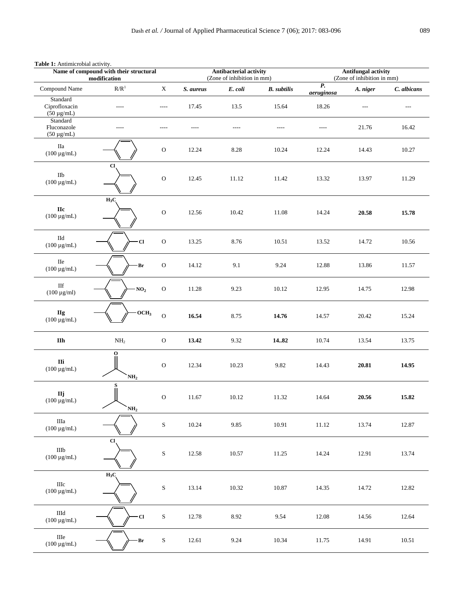|                                              | Name of compound with their structural<br>modification |                |           | <b>Antibacterial activity</b><br>(Zone of inhibition in mm) |                    | <b>Antifungal activity</b><br>(Zone of inhibition in mm) |                |             |  |  |
|----------------------------------------------|--------------------------------------------------------|----------------|-----------|-------------------------------------------------------------|--------------------|----------------------------------------------------------|----------------|-------------|--|--|
| Compound Name                                | $\mathbb{R}/\mathbb{R}^1$                              | $\mathbf X$    | S. aureus | E. coli                                                     | <b>B.</b> subtilis | $\overline{P}$ .<br>aeruginosa                           | A. niger       | C. albicans |  |  |
| Standard<br>Ciprofloxacin<br>$(50 \mu g/mL)$ | $---$                                                  | $-----$        | 17.45     | 13.5                                                        | 15.64              | 18.26                                                    | $\overline{a}$ | $---$       |  |  |
| Standard<br>Fluconazole<br>$(50 \ \mu g/mL)$ | $---$                                                  | $- - - -$      | ----      | ----                                                        | $---$              | $---$                                                    | 21.76          | 16.42       |  |  |
| IIa<br>$(100 \mu g/mL)$                      |                                                        | ${\rm O}$      | 12.24     | 8.28                                                        | 10.24              | 12.24                                                    | 14.43          | 10.27       |  |  |
| $\rm I Ib$<br>$(100 \ \mu g/mL)$             | Cl.                                                    | $\mathbf O$    | 12.45     | 11.12                                                       | 11.42              | 13.32                                                    | 13.97          | 11.29       |  |  |
| ${\bf IIc}$<br>$(100 \ \mu g/mL)$            | $H_3C$                                                 | $\rm{O}$       | 12.56     | 10.42                                                       | 11.08              | 14.24                                                    | 20.58          | 15.78       |  |  |
| IId<br>$(100 \mu g/mL)$                      | $\cdot$ Cl                                             | $\rm{O}$       | 13.25     | 8.76                                                        | 10.51              | 13.52                                                    | 14.72          | 10.56       |  |  |
| IIe<br>$(100 \ \mu g/mL)$                    | Br                                                     | ${\rm O}$      | 14.12     | 9.1                                                         | 9.24               | 12.88                                                    | 13.86          | 11.57       |  |  |
| $\rm{I}\rm{I} \rm{f}$<br>$(100 \ \mu g/ml)$  | NO <sub>2</sub>                                        | ${\rm O}$      | 11.28     | 9.23                                                        | 10.12              | 12.95                                                    | 14.75          | 12.98       |  |  |
| <b>IIg</b><br>$(100 \mu g/mL)$               | OCH <sub>3</sub>                                       | $\overline{O}$ | 16.54     | 8.75                                                        | 14.76              | 14.57                                                    | 20.42          | 15.24       |  |  |
| $\mathbf{II}\mathbf{h}$                      | $\mathrm{NH}_2$                                        | ${\rm O}$      | 13.42     | 9.32                                                        | 14.82              | 10.74                                                    | 13.54          | 13.75       |  |  |
| IIi<br>$(100 \ \mu g/mL)$                    | o<br>NH <sub>2</sub>                                   | ${\rm O}$      | 12.34     | 10.23                                                       | 9.82               | 14.43                                                    | 20.81          | 14.95       |  |  |
| IIj<br>$(100 \ \mu\text{g/mL})$              | S<br>NH <sub>2</sub>                                   | ${\rm O}$      | 11.67     | 10.12                                                       | 11.32              | 14.64                                                    | 20.56          | 15.82       |  |  |
| $\rm IIIa$<br>$(100 \mu g/mL)$               |                                                        | ${\bf S}$      | 10.24     | 9.85                                                        | 10.91              | 11.12                                                    | 13.74          | 12.87       |  |  |
| $\rm IIIb$<br>$(100 \ \mu g/mL)$             | $CI$                                                   | ${\bf S}$      | 12.58     | 10.57                                                       | 11.25              | 14.24                                                    | 12.91          | 13.74       |  |  |
| $\rm IIIc$<br>$(100 \ \mu g/mL)$             | $H_3C$                                                 | ${\bf S}$      | 13.14     | 10.32                                                       | 10.87              | 14.35                                                    | 14.72          | 12.82       |  |  |
| $\rm IIId$<br>$(100 \ \mu g/mL)$             | $\cdot$ Cl                                             | ${\bf S}$      | 12.78     | 8.92                                                        | 9.54               | 12.08                                                    | 14.56          | 12.64       |  |  |
| $\rm IIIe$<br>$(100 \ \mu g/mL)$             | Br                                                     | ${\bf S}$      | 12.61     | 9.24                                                        | 10.34              | 11.75                                                    | 14.91          | 10.51       |  |  |

# **Table 1:** Antimicrobial activity.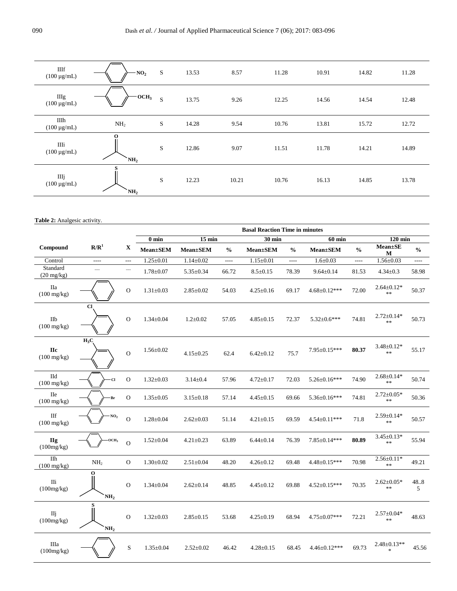| IIIf<br>$(100 \mu g/mL)$ | NO <sub>2</sub>                 | $\mathbf S$ | 13.53 | 8.57  | 11.28 | 10.91 | 14.82 | 11.28 |
|--------------------------|---------------------------------|-------------|-------|-------|-------|-------|-------|-------|
| IIIg<br>$(100 \mu g/mL)$ | $\cdot$ OCH <sub>3</sub>        | S           | 13.75 | 9.26  | 12.25 | 14.56 | 14.54 | 12.48 |
| IIIh<br>$(100 \mu g/mL)$ | NH <sub>2</sub>                 | S           | 14.28 | 9.54  | 10.76 | 13.81 | 15.72 | 12.72 |
| Шi<br>$(100 \mu g/mL)$   | $\mathbf{o}$<br>$\mathbf{NH}_2$ | S           | 12.86 | 9.07  | 11.51 | 11.78 | 14.21 | 14.89 |
| Шj<br>$(100 \mu g/mL)$   | S<br>NH <sub>2</sub>            | S           | 12.23 | 10.21 | 10.76 | 16.13 | 14.85 | 13.78 |

#### **Table 2:** Analgesic activity.

|                                                |                      |                | <b>Basal Reaction Time in minutes</b> |                 |                          |                 |                |                     |                |                                |               |  |  |
|------------------------------------------------|----------------------|----------------|---------------------------------------|-----------------|--------------------------|-----------------|----------------|---------------------|----------------|--------------------------------|---------------|--|--|
|                                                |                      |                | $0$ min                               | $15$ min        | $30 \text{ min}$         |                 |                | $60$ min            |                | $120$ min                      |               |  |  |
| Compound                                       | R/R <sup>1</sup>     | X              | $Mean \pm SEM$                        | <b>Mean±SEM</b> | $\frac{0}{0}$            | <b>Mean±SEM</b> | $\frac{0}{0}$  | <b>Mean±SEM</b>     | $\frac{0}{0}$  | $Mean \pm SE$<br>М             | $\frac{0}{0}$ |  |  |
| Control                                        | $\overline{a}$       | $\overline{a}$ | $1.25 \pm 0.01$                       | $1.14 \pm 0.02$ | $\overline{\phantom{a}}$ | $1.15 \pm 0.01$ | $\overline{a}$ | $1.6 \pm 0.03$      | $\overline{a}$ | $1.56 \pm 0.03$                | $\cdots$      |  |  |
| Standard<br>$(20 \frac{\text{mg}}{\text{kg}})$ | $\cdots$             | ----           | $1.78 \pm 0.07$                       | $5.35 \pm 0.34$ | 66.72                    | $8.5 \pm 0.15$  | 78.39          | $9.64 \pm 0.14$     | 81.53          | $4.34 \pm 0.3$                 | 58.98         |  |  |
| Пa<br>$(100 \text{ mg/kg})$                    |                      | $\mathbf O$    | $1.31 \pm 0.03$                       | $2.85 \pm 0.02$ | 54.03                    | $4.25 \pm 0.16$ | 69.17          | $4.68 \pm 0.12***$  | 72.00          | $2.64 \pm 0.12*$<br>$\ast\ast$ | 50.37         |  |  |
| $I$ Ilb<br>$(100 \text{ mg/kg})$               | $_{\rm Cl}$          | $\overline{O}$ | $1.34 \pm 0.04$                       | $1.2 \pm 0.02$  | 57.05                    | $4.85 \pm 0.15$ | 72.37          | $5.32 \pm 0.6$ ***  | 74.81          | $2.72 \pm 0.14*$<br>$**$       | 50.73         |  |  |
| <b>Hc</b><br>$(100 \text{ mg/kg})$             | $H_3C$               | $\overline{O}$ | $1.56 \pm 0.02$                       | $4.15 \pm 0.25$ | 62.4                     | $6.42 \pm 0.12$ | 75.7           | 7.95±0.15***        | 80.37          | $3.48 \pm 0.12*$<br>$**$       | 55.17         |  |  |
| IId<br>$(100 \text{ mg/kg})$                   | $\mathbf{C}$         | $\mathbf O$    | $1.32 \pm 0.03$                       | $3.14 \pm 0.4$  | 57.96                    | $4.72 \pm 0.17$ | 72.03          | $5.26 \pm 0.16$ *** | 74.90          | $2.68 \pm 0.14*$<br>$\ast$     | 50.74         |  |  |
| <b>IIe</b><br>$(100 \text{ mg/kg})$            | Br                   | $\mathbf{O}$   | $1.35 \pm 0.05$                       | $3.15 \pm 0.18$ | 57.14                    | $4.45 \pm 0.15$ | 69.66          | 5.36±0.16***        | 74.81          | $2.72 \pm 0.05*$<br>$**$       | 50.36         |  |  |
| <b>IIf</b><br>$(100 \text{ mg/kg})$            | NO <sub>2</sub>      | $\Omega$       | $1.28 \pm 0.04$                       | $2.62 \pm 0.03$ | 51.14                    | $4.21 \pm 0.15$ | 69.59          | 4.54±0.11***        | 71.8           | $2.59 \pm 0.14*$<br>$**$       | 50.57         |  |  |
| <b>IIg</b><br>(100mg/kg)                       | OCH <sub>3</sub>     | $\Omega$       | $1.52 \pm 0.04$                       | $4.21 \pm 0.23$ | 63.89                    | $6.44 \pm 0.14$ | 76.39          | $7.85 \pm 0.14***$  | 80.89          | $3.45 \pm 0.13*$<br>$\ast$     | 55.94         |  |  |
| $\overline{I}$<br>$(100 \text{ mg/kg})$        | NH <sub>2</sub>      | $\mathbf{O}$   | $1.30 \pm 0.02$                       | $2.51 \pm 0.04$ | 48.20                    | $4.26 \pm 0.12$ | 69.48          | 4.48±0.15***        | 70.98          | $2.56 \pm 0.11*$<br>$**$       | 49.21         |  |  |
| IIi<br>(100mg/kg)                              | O<br>NH <sub>2</sub> | $\mathbf O$    | $1.34 \pm 0.04$                       | $2.62 \pm 0.14$ | 48.85                    | $4.45 \pm 0.12$ | 69.88          | $4.52 \pm 0.15***$  | 70.35          | $2.62 \pm 0.05*$<br>$\ast$     | 48.8<br>5     |  |  |
| IIj<br>(100mg/kg)                              | NH <sub>2</sub>      | $\mathbf{O}$   | $1.32 \pm 0.03$                       | $2.85 \pm 0.15$ | 53.68                    | $4.25 \pm 0.19$ | 68.94          | $4.75 \pm 0.07$ *** | 72.21          | $2.57 \pm 0.04*$<br>$**$       | 48.63         |  |  |
| Шa<br>(100mg/kg)                               |                      | $\mathbf S$    | $1.35 \pm 0.04$                       | $2.52 \pm 0.02$ | 46.42                    | $4.28 \pm 0.15$ | 68.45          | $4.46 \pm 0.12***$  | 69.73          | $2.48 \pm 0.13**$<br>sk.       | 45.56         |  |  |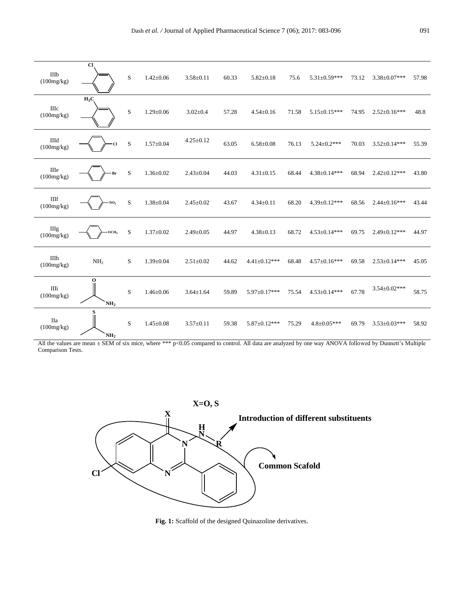| IIIb<br>(100mg/kg)        | Cl                             | S           | $1.42 \pm 0.06$ | $3.58 \pm 0.11$ | 60.33 | $5.82 \pm 0.18$    | 75.6  | $5.31 \pm 0.59$ *** | 73.12 | $3.38 \pm 0.07$ *** | 57.98 |
|---------------------------|--------------------------------|-------------|-----------------|-----------------|-------|--------------------|-------|---------------------|-------|---------------------|-------|
| <b>IIIc</b><br>(100mg/kg) | $H_3C$                         | $\mathbf S$ | $1.29 \pm 0.06$ | $3.02 \pm 0.4$  | 57.28 | $4.54 \pm 0.16$    | 71.58 | $5.15 \pm 0.15***$  | 74.95 | $2.52 \pm 0.16***$  | 48.8  |
| IIId<br>(100mg/kg)        | Cl                             | $\,$ S      | $1.57 \pm 0.04$ | $4.25 \pm 0.12$ | 63.05 | $6.58 \pm 0.08$    | 76.13 | $5.24 \pm 0.2$ ***  | 70.03 | $3.52 \pm 0.14***$  | 55.39 |
| IIIe<br>(100mg/kg)        | Br                             | $\mathbf S$ | $1.36 \pm 0.02$ | $2.43 \pm 0.04$ | 44.03 | $4.31 \pm 0.15$    | 68.44 | $4.38 \pm 0.14***$  | 68.94 | $2.42 \pm 0.12***$  | 43.80 |
| $\rm IIIf$<br>(100mg/kg)  | $\cdot$ NO <sub>2</sub>        | $\mathbf S$ | $1.38 \pm 0.04$ | $2.45 \pm 0.02$ | 43.67 | $4.34 \pm 0.11$    | 68.20 | $4.39 \pm 0.12***$  | 68.56 | $2.44 \pm 0.16***$  | 43.44 |
| <b>IIIg</b><br>(100mg/kg) | $- OCH3$                       | $\mathbf S$ | $1.37 \pm 0.02$ | $2.49 \pm 0.05$ | 44.97 | $4.38 \pm 0.13$    | 68.72 | $4.53 \pm 0.14***$  | 69.75 | $2.49 \pm 0.12***$  | 44.97 |
| IIIh<br>(100mg/kg)        | NH <sub>2</sub>                | S           | $1.39 \pm 0.04$ | $2.51 \pm 0.02$ | 44.62 | $4.41 \pm 0.12***$ | 68.48 | $4.57 \pm 0.16***$  | 69.58 | $2.53 \pm 0.14***$  | 45.05 |
| IIIi<br>(100mg/kg)        | $\mathbf 0$<br>$\mathbf{NH}_2$ | S           | $1.46 \pm 0.06$ | $3.64 \pm 1.64$ | 59.89 | 5.97±0.17***       | 75.54 | $4.53 \pm 0.14***$  | 67.78 | $3.54 \pm 0.02***$  | 58.75 |
| <b>IIa</b><br>(100mg/kg)  | NH <sub>2</sub>                | S           | $1.45 \pm 0.08$ | $3.57 \pm 0.11$ | 59.38 | $5.87 \pm 0.12***$ | 75.29 | $4.8 \pm 0.05***$   | 69.79 | $3.53 \pm 0.03$ *** | 58.92 |

All the values are mean  $\pm$  SEM of six mice, where \*\*\* p<0.05 compared to control. All data are analyzed by one way ANOVA followed by Dunnett's Multiple Comparison Tests.



**Fig. 1:** Scaffold of the designed Quinazoline derivatives.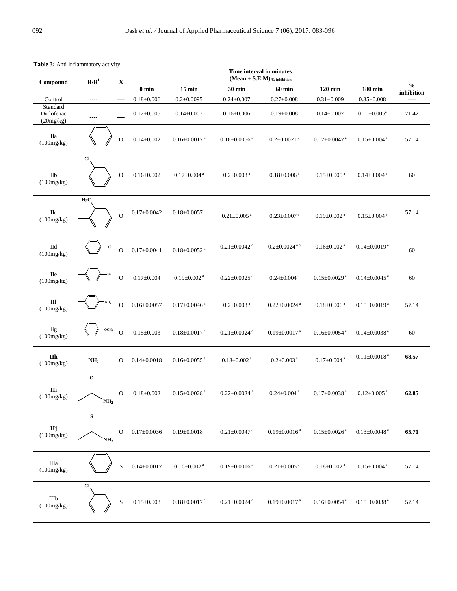| <b>raone</b> 9. The imagination factivity<br>R/R <sup>1</sup> |                                 | $\mathbf{X}$   | Time interval in minutes<br>(Mean $\pm$ S.E.M) $\%$ inhibition |                                |                                |                                |                                |                                |                             |  |  |
|---------------------------------------------------------------|---------------------------------|----------------|----------------------------------------------------------------|--------------------------------|--------------------------------|--------------------------------|--------------------------------|--------------------------------|-----------------------------|--|--|
| Compound                                                      |                                 |                | $\boldsymbol{0}$ min                                           | $15 \text{ min}$               | 30 min                         | 60 min                         | $120$ min                      | $180 \mathrm{~min}$            | $\frac{0}{0}$<br>inhibition |  |  |
| Control                                                       | $\overline{\phantom{a}}$        | $\overline{a}$ | $0.18 \pm 0.006$                                               | $0.2 \pm 0.0095$               | $0.24 \pm 0.007$               | $0.27 \pm 0.008$               | $0.31 \pm 0.009$               | $0.35{\pm}0.008$               | $\overline{a}$              |  |  |
| Standard<br>Diclofenac<br>(20mg/kg)                           | $-----$                         | $\frac{1}{2}$  | $0.12 \pm 0.005$                                               | $0.14 \pm 0.007$               | $0.16 \pm 0.006$               | $0.19 \pm 0.008$               | $0.14 \pm 0.007$               | $0.10 \pm 0.005^{\text{a}}$    | 71.42                       |  |  |
| IIa<br>(100mg/kg)                                             |                                 | $\mathbf O$    | $0.14 \pm 0.002$                                               | $0.16 \pm 0.0017$ <sup>a</sup> | $0.18 \pm 0.0056$ <sup>a</sup> | $0.2 \pm 0.0021$ <sup>a</sup>  | $0.17 \pm 0.0047$ <sup>a</sup> | $0.15 \pm 0.004$ <sup>a</sup>  | 57.14                       |  |  |
| $\rm I Ib$<br>(100mg/kg)                                      | C1                              | $\mathbf O$    | $0.16 \pm 0.002$                                               | $0.17 \pm 0.004$ <sup>a</sup>  | $0.2{\pm}0.003$ $^{\rm a}$     | $0.18 \pm 0.006$ <sup>a</sup>  | $0.15 \pm 0.005$ <sup>a</sup>  | $0.14 \pm 0.004$ <sup>a</sup>  | $60\,$                      |  |  |
| IIc<br>(100mg/kg)                                             | $H_3C$                          | $\overline{O}$ | $0.17 \pm 0.0042$                                              | $0.18 \pm 0.0057$ <sup>a</sup> | $0.21 \pm 0.005$ <sup>a</sup>  | $0.23 \pm 0.007$ <sup>a</sup>  | $0.19 \pm 0.002$ <sup>a</sup>  | $0.15 \pm 0.004$ <sup>a</sup>  | 57.14                       |  |  |
| $\Pi\mathrm{d}$<br>(100mg/kg)                                 |                                 | $\mathbf O$    | $0.17 \pm 0.0041$                                              | $0.18 \pm 0.0052$ <sup>a</sup> | $0.21 \pm 0.0042$ <sup>a</sup> | $0.2 \pm 0.0024$ <sup>aa</sup> | $0.16 \pm 0.002$ <sup>a</sup>  | $0.14 \pm 0.0019$ <sup>a</sup> | $60\,$                      |  |  |
| IIe<br>(100mg/kg)                                             | Br                              | $\mathbf 0$    | $0.17 \pm 0.004$                                               | $0.19 \pm 0.002$ <sup>a</sup>  | $0.22 \pm 0.0025$ <sup>a</sup> | $0.24 \pm 0.004$ <sup>a</sup>  | $0.15 \pm 0.0029$ <sup>a</sup> | $0.14 \pm 0.0045$ <sup>a</sup> | 60                          |  |  |
| $\rm{H}f$<br>(100mg/kg)                                       | NO <sub>2</sub>                 | $\mathbf O$    | $0.16 \pm 0.0057$                                              | $0.17 \pm 0.0046$ <sup>a</sup> | $0.2 \pm 0.003$ <sup>a</sup>   | $0.22 \pm 0.0024$ <sup>a</sup> | $0.18 \pm 0.006$ <sup>a</sup>  | $0.15 \pm 0.0019$ <sup>a</sup> | 57.14                       |  |  |
| <b>IIg</b><br>(100mg/kg)                                      | OCH <sub>3</sub>                | $\overline{O}$ | $0.15\pm0.003$                                                 | $0.18 \pm 0.0017$ <sup>a</sup> | $0.21{\pm}0.0024$ a            | $0.19 \pm 0.0017$ <sup>a</sup> | $0.16 \pm 0.0054$ <sup>a</sup> | $0.14 \pm 0.0038$ <sup>a</sup> | 60                          |  |  |
| IIh<br>(100mg/kg)                                             | NH <sub>2</sub>                 | $\mathbf{O}$   | $0.14 \pm 0.0018$                                              | $0.16 \pm 0.0055$ <sup>a</sup> | $0.18{\pm}0.002$ a             | $0.2{\pm0.003}$ $^{\rm a}$     | $0.17{\pm}0.004$ a             | $0.11 \pm 0.0018$ <sup>a</sup> | 68.57                       |  |  |
| IIi<br>(100mg/kg)                                             | $\mathbf{o}$<br>NH <sub>2</sub> | $\mathbf O$    | $0.18 \pm 0.002$                                               | $0.15 \pm 0.0028$ <sup>a</sup> | $0.22 \pm 0.0024$ <sup>a</sup> | $0.24 \pm 0.004$ <sup>a</sup>  | $0.17 \pm 0.0038$ <sup>a</sup> | $0.12 \pm 0.005$ <sup>a</sup>  | 62.85                       |  |  |
| $$\bf \rm Hj$$ (100mg/kg)                                     | NH <sub>2</sub>                 | ${\rm O}$      | $0.17 \pm 0.0036$                                              | $0.19 \pm 0.0018$ <sup>a</sup> | $0.21 \pm 0.0047$ <sup>a</sup> | $0.19 \pm 0.0016$ <sup>a</sup> | $0.15 \pm 0.0026$ <sup>a</sup> | $0.13 \pm 0.0048$ <sup>a</sup> | 65.71                       |  |  |
| $\rm IIIa$<br>(100mg/kg)                                      |                                 | $\rm S$        | $0.14 \pm 0.0017$                                              | $0.16 \pm 0.002$ <sup>a</sup>  | $0.19 \pm 0.0016$ <sup>a</sup> | $0.21 \pm 0.005$ <sup>a</sup>  | $0.18 \pm 0.002$ <sup>a</sup>  | $0.15 \pm 0.004$ <sup>a</sup>  | 57.14                       |  |  |
| $\rm IIIb$<br>(100mg/kg)                                      | $CI$                            | $\rm S$        | $0.15{\pm}0.003$                                               | $0.18 \pm 0.0017$ <sup>a</sup> | $0.21{\pm}0.0024$ a            | $0.19 \pm 0.0017$ <sup>a</sup> | $0.16 \pm 0.0054$ <sup>a</sup> | $0.15 \pm 0.0038$ <sup>a</sup> | 57.14                       |  |  |

**Table 3:** Anti inflammatory activity.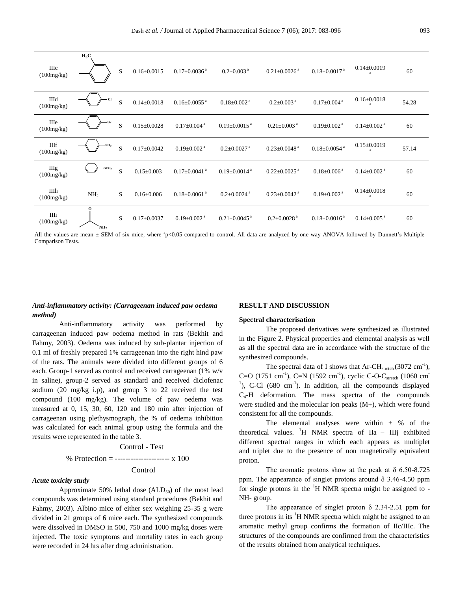| IIIc<br>(100mg/kg)        | $H_3C$               | S | $0.16 \pm 0.0015$ | $0.17 \pm 0.0036$ <sup>a</sup> | $0.2 \pm 0.003$ <sup>a</sup>   | $0.21 \pm 0.0026$ <sup>a</sup> | $0.18 \pm 0.0017$ <sup>a</sup> | $0.14 \pm 0.0019$             | 60    |
|---------------------------|----------------------|---|-------------------|--------------------------------|--------------------------------|--------------------------------|--------------------------------|-------------------------------|-------|
| IIId<br>(100mg/kg)        | Cl                   | S | $0.14 \pm 0.0018$ | $0.16 \pm 0.0055$ <sup>a</sup> | $0.18 \pm 0.002$ <sup>a</sup>  | $0.2 \pm 0.003$ <sup>a</sup>   | $0.17 \pm 0.004$ <sup>a</sup>  | $0.16 \pm 0.0018$<br>a        | 54.28 |
| IIIe<br>(100mg/kg)        | Вr                   | S | $0.15 \pm 0.0028$ | $0.17 \pm 0.004$ <sup>a</sup>  | $0.19 \pm 0.0015$ <sup>a</sup> | $0.21 \pm 0.003$ <sup>a</sup>  | $0.19 \pm 0.002$ <sup>a</sup>  | $0.14 \pm 0.002$ <sup>a</sup> | 60    |
| <b>IIIf</b><br>(100mg/kg) | $\rm NO_2$           | S | $0.17 \pm 0.0042$ | $0.19 \pm 0.002$ <sup>a</sup>  | $0.2 \pm 0.0027$ <sup>a</sup>  | $0.23 \pm 0.0048$ <sup>a</sup> | $0.18 \pm 0.0054$ <sup>a</sup> | $0.15 \pm 0.0019$             | 57.14 |
| <b>IIIg</b><br>(100mg/kg) | OCH <sub>3</sub>     | S | $0.15 \pm 0.003$  | $0.17 \pm 0.0041$ <sup>a</sup> | $0.19 \pm 0.0014$ <sup>a</sup> | $0.22 \pm 0.0025$ <sup>a</sup> | $0.18 \pm 0.006$ <sup>a</sup>  | $0.14 \pm 0.002$ <sup>a</sup> | 60    |
| IIIh<br>(100mg/kg)        | NH <sub>2</sub>      | S | $0.16 \pm 0.006$  | $0.18 \pm 0.0061$ <sup>a</sup> | $0.2 \pm 0.0024$ <sup>a</sup>  | $0.23 \pm 0.0042$ <sup>a</sup> | $0.19 \pm 0.002$ <sup>a</sup>  | $0.14 \pm 0.0018$<br>a        | 60    |
| Шi<br>(100mg/kg)          | О<br>NH <sub>2</sub> | S | $0.17 \pm 0.0037$ | $0.19 \pm 0.002$ <sup>a</sup>  | $0.21 \pm 0.0045$ <sup>a</sup> | $0.2 \pm 0.0028$ <sup>a</sup>  | $0.18 \pm 0.0016$ <sup>a</sup> | $0.14 \pm 0.005$ <sup>a</sup> | 60    |

All the values are mean  $\pm$  SEM of six mice, where  $\degree$ p<0.05 compared to control. All data are analyzed by one way ANOVA followed by Dunnett's Multiple Comparison Tests.

# *Anti-inflammatory activity: (Carrageenan induced paw oedema method)*

#### **RESULT AND DISCUSSION**

#### **Spectral characterisation**

Anti-inflammatory activity was performed by carrageenan induced paw oedema method in rats (Bekhit and Fahmy, 2003). Oedema was induced by sub-plantar injection of 0.1 ml of freshly prepared 1% carrageenan into the right hind paw of the rats. The animals were divided into different groups of 6 each. Group-1 served as control and received carrageenan (1% w/v in saline), group-2 served as standard and received diclofenac sodium (20 mg/kg i.p), and group 3 to 22 received the test compound (100 mg/kg). The volume of paw oedema was measured at 0, 15, 30, 60, 120 and 180 min after injection of carrageenan using plethysmograph, the % of oedema inhibition was calculated for each animal group using the formula and the results were represented in the table 3.

% Protection = --------------------- x 100 Control - Test Control

#### *Acute toxicity study*

Approximate 50% lethal dose  $(ALD_{50})$  of the most lead compounds was determined using standard procedures (Bekhit and Fahmy, 2003). Albino mice of either sex weighing 25-35 g were divided in 21 groups of 6 mice each. The synthesized compounds were dissolved in DMSO in 500, 750 and 1000 mg/kg doses were injected. The toxic symptoms and mortality rates in each group were recorded in 24 hrs after drug administration.

The proposed derivatives were synthesized as illustrated in the Figure 2. Physical properties and elemental analysis as well as all the spectral data are in accordance with the structure of the synthesized compounds.

The spectral data of I shows that  $Ar-CH_{stretch} (3072 \text{ cm}^{-1}),$ C=O (1751 cm<sup>-1</sup>), C=N (1592 cm<sup>-1</sup>), cyclic C-O-C<sub>stretch</sub> (1060 cm<sup>-</sup>  $1$ ), C-Cl (680 cm<sup>-1</sup>). In addition, all the compounds displayed  $C_4$ -H deformation. The mass spectra of the compounds were studied and the molecular ion peaks (M+), which were found consistent for all the compounds.

The elemental analyses were within  $\pm$  % of the theoretical values. <sup>1</sup>H NMR spectra of IIa – IIIj exhibited different spectral ranges in which each appears as multiplet and triplet due to the presence of non magnetically equivalent proton.

The aromatic protons show at the peak at  $\delta$  6.50-8.725 ppm. The appearance of singlet protons around  $\delta$  3.46-4.50 ppm for single protons in the  ${}^{1}$ H NMR spectra might be assigned to -NH- group.

The appearance of singlet proton  $\delta$  2.34-2.51 ppm for three protons in its  ${}^{1}$ H NMR spectra which might be assigned to an aromatic methyl group confirms the formation of IIc/IIIc. The structures of the compounds are confirmed from the characteristics of the results obtained from analytical techniques.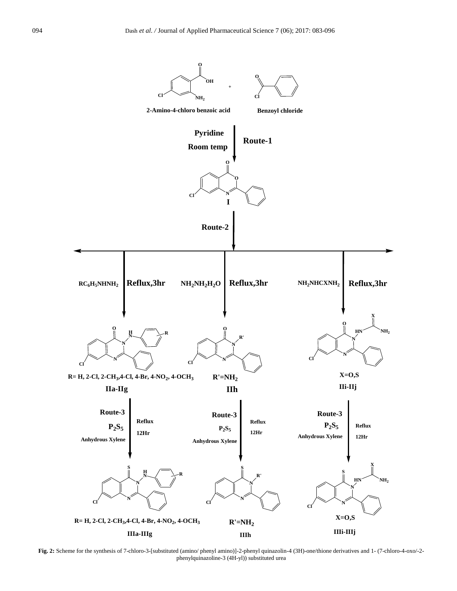

**Fig. 2:** Scheme for the synthesis of 7-chloro-3-[substituted (amino/ phenyl amino)]-2-phenyl quinazolin-4 (3H)-one/thione derivatives and 1- (7-chloro-4-oxo/-2 phenylquinazoline-3 (4H-yl)) substituted urea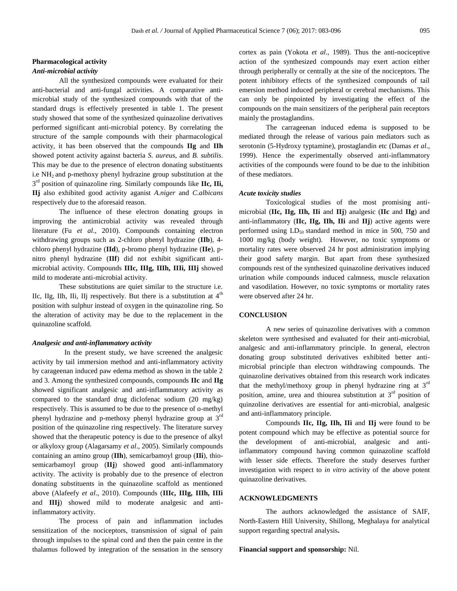# **Pharmacological activity**

#### *Anti-microbial activity*

 All the synthesized compounds were evaluated for their anti-bacterial and anti-fungal activities. A comparative antimicrobial study of the synthesized compounds with that of the standard drugs is effectively presented in table 1. The present study showed that some of the synthesized quinazoline derivatives performed significant anti-microbial potency. By correlating the structure of the sample compounds with their pharmacological activity, it has been observed that the compounds **IIg** and **IIh** showed potent activity against bacteria *S. aureus*, and *B. subtilis*. This may be due to the presence of electron donating substituents i.e  $NH<sub>2</sub>$  and p-methoxy phenyl hydrazine group substitution at the 3<sup>rd</sup> position of quinazoline ring. Similarly compounds like **IIc, IIi**, **IIj** also exhibited good activity aganist *A.niger* and *C.albicans* respectively due to the aforesaid reason.

The influence of these electron donating groups in improving the antimicrobial activity was revealed through literature (Fu *et al*., 2010). Compounds containing electron withdrawing groups such as 2-chloro phenyl hydrazine (**IIb**), 4 chloro phenyl hydrazine (**IId**), p-bromo phenyl hydrazine (**IIe**), pnitro phenyl hydrazine (**IIf**) did not exhibit significant antimicrobial activity. Compounds **IIIc, IIIg, IIIh, IIIi, IIIj** showed mild to moderate anti-microbial activity.

These substitutions are quiet similar to the structure i.e. IIc, IIg, IIh, IIi, IIj respectively. But there is a substitution at  $4<sup>th</sup>$ position with sulphur instead of oxygen in the quinazoline ring. So the alteration of activity may be due to the replacement in the quinazoline scaffold.

#### *Analgesic and anti-inflammatory activity*

 In the present study, we have screened the analgesic activity by tail immersion method and anti-inflammatory activity by carageenan induced paw edema method as shown in the table 2 and 3. Among the synthesized compounds, compounds **IIc** and **IIg** showed significant analgesic and anti-inflammatory activity as compared to the standard drug diclofenac sodium (20 mg/kg) respectively. This is assumed to be due to the presence of o-methyl phenyl hydrazine and p-methoxy phenyl hydrazine group at 3rd position of the quinazoline ring respectively. The literature survey showed that the therapeutic potency is due to the presence of alkyl or alkyloxy group (Alagarsamy *et al*., 2005). Similarly compounds containing an amino group (**IIh**), semicarbamoyl group (**IIi**), thiosemicarbamoyl group (**IIj**) showed good anti-inflammatory activity. The activity is probably due to the presence of electron donating substituents in the quinazoline scaffold as mentioned above (Alafeefy *et al*., 2010). Compounds (**IIIc, IIIg, IIIh, IIIi**  and **IIIj**) showed mild to moderate analgesic and antiinflammatory activity.

 The process of pain and inflammation includes sensitization of the nociceptors, transmission of signal of pain through impulses to the spinal cord and then the pain centre in the thalamus followed by integration of the sensation in the sensory cortex as pain (Yokota *et al*., 1989). Thus the anti-nociceptive action of the synthesized compounds may exert action either through peripherally or centrally at the site of the nociceptors. The potent inhibitory effects of the synthesized compounds of tail emersion method induced peripheral or cerebral mechanisms. This can only be pinpointed by investigating the effect of the compounds on the main sensitizers of the peripheral pain receptors mainly the prostaglandins.

The carrageenan induced edema is supposed to be mediated through the release of various pain mediators such as serotonin (5-Hydroxy typtamine), prostaglandin etc (Damas *et al*., 1999). Hence the experimentally observed anti-inflammatory activities of the compounds were found to be due to the inhibition of these mediators.

#### *Acute toxicity studies*

 Toxicological studies of the most promising antimicrobial (**IIc, IIg, IIh, IIi** and **IIj**) analgesic (**IIc** and **IIg**) and anti-inflammatory (**IIc, IIg, IIh, IIi** and **IIj**) active agents were performed using  $LD_{50}$  standard method in mice in 500, 750 and 1000 mg/kg (body weight). However, no toxic symptoms or mortality rates were observed 24 hr post administration implying their good safety margin. But apart from these synthesized compounds rest of the synthesized quinazoline derivatives induced urination while compounds induced calmness, muscle relaxation and vasodilation. However, no toxic symptoms or mortality rates were observed after 24 hr.

#### **CONCLUSION**

 A new series of quinazoline derivatives with a common skeleton were synthesised and evaluated for their anti-microbial, analgesic and anti-inflammatory principle. In general, electron donating group substituted derivatives exhibited better antimicrobial principle than electron withdrawing compounds. The quinazoline derivatives obtained from this research work indicates that the methyl/methoxy group in phenyl hydrazine ring at  $3<sup>rd</sup>$ position, amine, urea and thiourea substitution at  $3<sup>rd</sup>$  position of quinzoline derivatives are essential for anti-microbial, analgesic and anti-inflammatory principle.

Compounds **IIc, IIg, IIh, IIi** and **IIj** were found to be potent compound which may be effective as potential source for the development of anti-microbial, analgesic and antiinflammatory compound having common quinazoline scaffold with lesser side effects. Therefore the study deserves further investigation with respect to *in vitro* activity of the above potent quinazoline derivatives.

#### **ACKNOWLEDGMENTS**

 The authors acknowledged the assistance of SAIF, North-Eastern Hill University, Shillong, Meghalaya for analytical support regarding spectral analysis**.** 

#### **Financial support and sponsorship:** Nil.